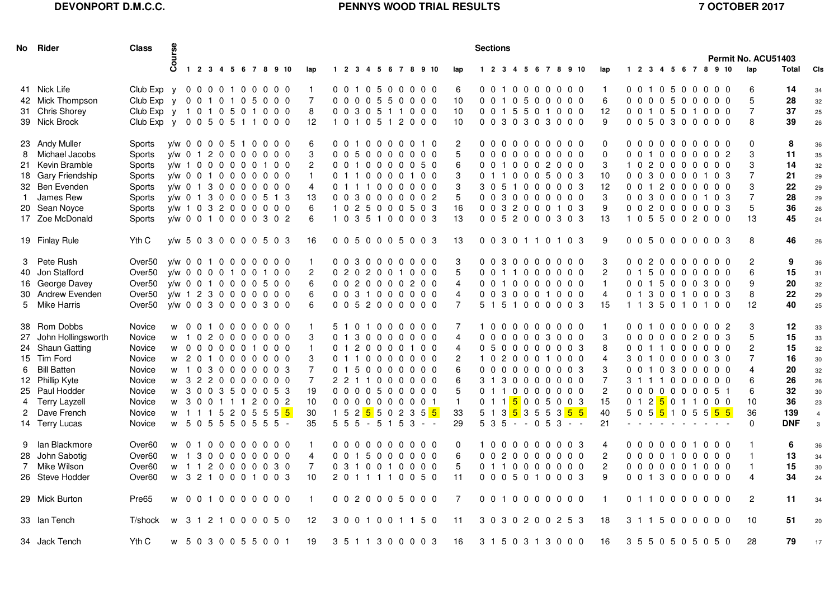# **DEVONPORT D.M.C.C.**

# **PENNYS WOOD TRIAL RESULTS** 7 OCTOBER 2017

|   | No Rider                                                                                                                                                                           | <b>Class</b>                                                                                               | 9S.                                                                                                                                                                                                                      |                                                                                                                                                                                       |  |  |          |          |                                                                                    |                                             |  |  |  |                                                                                                                                           |                                                |  | <b>Sections</b>                                                                               |  |                |                          |         |                |                                                                                                                                                                                                              |                      |                                                                                        |                |                      |                                                                                                                                                                                                                                           |   | Permit No. ACU51403 |                                                                          |                                                                   |                                                                                |  |
|---|------------------------------------------------------------------------------------------------------------------------------------------------------------------------------------|------------------------------------------------------------------------------------------------------------|--------------------------------------------------------------------------------------------------------------------------------------------------------------------------------------------------------------------------|---------------------------------------------------------------------------------------------------------------------------------------------------------------------------------------|--|--|----------|----------|------------------------------------------------------------------------------------|---------------------------------------------|--|--|--|-------------------------------------------------------------------------------------------------------------------------------------------|------------------------------------------------|--|-----------------------------------------------------------------------------------------------|--|----------------|--------------------------|---------|----------------|--------------------------------------------------------------------------------------------------------------------------------------------------------------------------------------------------------------|----------------------|----------------------------------------------------------------------------------------|----------------|----------------------|-------------------------------------------------------------------------------------------------------------------------------------------------------------------------------------------------------------------------------------------|---|---------------------|--------------------------------------------------------------------------|-------------------------------------------------------------------|--------------------------------------------------------------------------------|--|
|   |                                                                                                                                                                                    |                                                                                                            | Õ                                                                                                                                                                                                                        | 1 2 3 4 5 6 7 8 9 10                                                                                                                                                                  |  |  |          |          | lap                                                                                |                                             |  |  |  | 1 2 3 4 5 6 7 8 9 10                                                                                                                      |                                                |  | lap                                                                                           |  |                |                          |         |                |                                                                                                                                                                                                              | 1 2 3 4 5 6 7 8 9 10 | lap                                                                                    |                |                      | 1 2 3 4 5 6 7 8 9 10                                                                                                                                                                                                                      |   |                     | lap                                                                      | Total                                                             | <b>CIs</b>                                                                     |  |
|   | 41 Nick Life<br>42 Mick Thompson<br>31 Chris Shorey<br>39 Nick Brock                                                                                                               | Club Exp $y$ 00000100000<br>Club Exp y<br>Club Exp y 1 0 1 0 5 0 1 0 0 0<br>Club Exp y 0 0 5 0 5 1 1 0 0 0 |                                                                                                                                                                                                                          | 0 0 1 0 1 0 5 0 0 0                                                                                                                                                                   |  |  |          |          | $\mathbf{1}$<br>$\overline{7}$<br>8<br>$12 \overline{ }$                           |                                             |  |  |  | 0 0 1 0 5 0 0 0 0 0<br>0000550000<br>0 0 3 0 5 1 1 0 0 0<br>1010512000                                                                    |                                                |  | 6<br>10<br>10<br>10                                                                           |  | 0 <sub>0</sub> |                          |         |                | 10000000<br>0 0 1 0 5 0 0 0 0 0<br>0 0 1 5 5 0 1 0 0 0<br>0030303000                                                                                                                                         |                      | $\overline{1}$<br>6<br>12<br>9                                                         |                |                      | 0 0 1 0 5 0 0 0 0 0<br>0 0 0 0 5 0 0 0 0 0<br>0 0 1 0 5 0 1 0 0 0<br>0050300000                                                                                                                                                           |   |                     | 6<br>5<br>$\overline{7}$<br>8                                            | 14<br>28<br>37<br>39                                              | 34<br>32<br>25<br>26                                                           |  |
|   | 23 Andy Muller<br>8 Michael Jacobs<br>21 Kevin Bramble<br>18 Gary Friendship<br>32 Ben Evenden<br>1 James Rew<br>20 Sean Noyce<br>17 Zoe McDonald                                  | Sports<br>Sports<br>Sports<br>Sports<br>Sports<br>Sports<br>Sports<br>Sports                               | v/w 0 0 0 0 5 1 0 0 0 0<br>y/w 0 1 2 0 0 0 0 0 0 0<br>y/w 1 0 0 0 0 0 0 1 0 0<br>$y/w$ 0 0 1 0 0 0 0 0 0 0<br>$V/W$ 0 1 3 0 0 0 0 0 0 0<br>y/w 0 1 3 0 0 0 0 5 1 3<br>y/w 1 0 3 2 0 0 0 0 0 0<br>v/w 0 0 1 0 0 0 0 3 0 2 |                                                                                                                                                                                       |  |  |          |          | 6<br>3<br>$\overline{c}$<br>$\mathbf{1}$<br>4<br>13<br>6<br>6                      | 0 0 5 0 0 0 0<br>0010000                    |  |  |  | 0 0 1 0 0 0 0 0 1 0<br>$\mathbf{0}$<br>0110000100<br>0111000000<br>0 0 3 0 0 0 0 0 0 2<br>1025000503<br>1035100003                        | $0\,0\,0$<br>50                                |  | $\overline{c}$<br>5<br>6<br>3<br>3<br>5<br>16<br>13                                           |  | $0\quad 0$     | 1000                     |         | $\overline{2}$ | 0000000000<br>0000000000<br>$0\,0\,0$<br>0110005003<br>3 0 5 1 0 0 0 0 0 3<br>0030000000<br>0 0 3 2 0 0 0 1 0 3<br>0 0 5 2 0 0 0 3 0 3                                                                       |                      | $\mathbf 0$<br>$\mathbf 0$<br>3<br>10<br>12<br>3<br>9<br>13                            | $\mathbf 0$    | 2000                 | 0000000000<br>0 0 1 0 0 0 0 0 0 2<br>$\overline{0}$<br>0 0 3 0 0 0 0 1 0 3<br>0012000000<br>0 0 3 0 0 0 0 1 0 3<br>0 0 2 0 0 0 0 0 0 3<br>1055002000                                                                                      | 0 | 0 <sub>0</sub>      | $\mathbf 0$<br>3<br>3<br>7<br>3<br>$\overline{7}$<br>5<br>13             | 8<br>11<br>14<br>21<br>22<br>28<br>36<br>45                       | 36<br>35<br>32<br>29<br>29<br>29<br>26<br>24                                   |  |
|   | 19 Finlay Rule                                                                                                                                                                     | Yth C                                                                                                      | y/w 5 0 3 0 0 0 0 5 0 3                                                                                                                                                                                                  |                                                                                                                                                                                       |  |  |          |          | 16                                                                                 |                                             |  |  |  | 0 0 5 0 0 0 5 0 0 3                                                                                                                       |                                                |  | 13                                                                                            |  |                |                          |         |                | 0 0 3 0 1 1 0 1 0 3                                                                                                                                                                                          |                      | 9                                                                                      |                |                      | 0050000003                                                                                                                                                                                                                                |   |                     | 8                                                                        | 46                                                                | 26                                                                             |  |
|   | 3 Pete Rush<br>40 Jon Stafford<br>16 George Davey<br>30 Andrew Evenden<br>5 Mike Harris                                                                                            | Over <sub>50</sub><br>Over <sub>50</sub><br>Over <sub>50</sub><br>Over <sub>50</sub><br>Over <sub>50</sub> | v/w 0 0 1 0 0 0 0 0 0 0<br>v/w 0 0 0 0 1 0 0 1 0 0<br>y/w 0 0 1 0 0 0 0 5 0 0<br>y/w 1 2 3 0 0 0 0 0 0 0<br>v/w 0 0 3 0 0 0 0 3 0 0                                                                                      |                                                                                                                                                                                       |  |  |          |          | $\mathbf{1}$<br>$\overline{c}$<br>6<br>6<br>6                                      | 0 2 0 2 0 0 1                               |  |  |  | 0030000000<br>0020000200<br>0 0 3 1 0 0 0 0 0 0<br>0 0 5 2 0 0 0 0 0 0                                                                    | $0\,0\,0$                                      |  | 3<br>5<br>$\overline{4}$<br>$\overline{4}$<br>$\overline{7}$                                  |  |                |                          |         |                | 0030000000<br>0011000000<br>0 0 1 0 0 0 0 0 0 0<br>0 0 3 0 0 0 1 0 0 0<br>5 1 5 1 0 0 0 0 0 3                                                                                                                |                      | 3<br>$\overline{2}$<br>$\mathbf{1}$<br>$\overline{4}$<br>15                            | 0 <sub>0</sub> |                      | 20000000<br>0150000000<br>0 0 1 5 0 0 0 3 0 0<br>0 1 3 0 0 1 0 0 0 3<br>1 1 3 5 0 1 0 1 0 0                                                                                                                                               |   |                     | $\overline{2}$<br>6<br>9<br>8<br>12                                      | 9<br>15<br>20<br>22<br>40                                         | 36<br>31<br>32<br>29<br>25                                                     |  |
| 6 | 38 Rom Dobbs<br>27 John Hollingsworth<br>24 Shaun Gatting<br>15 Tim Ford<br>Bill Batten<br>12 Phillip Kyte<br>25 Paul Hodder<br>4 Terry Layzell<br>2 Dave French<br>14 Terry Lucas | Novice<br>Novice<br>Novice<br>Novice<br>Novice<br>Novice<br>Novice<br>Novice<br>Novice<br>Novice           |                                                                                                                                                                                                                          | w 00100000<br>w 1020000<br>w 0 0 0 0 0 0 1 0 0 0<br>w 2010000000<br>w 1030000003<br>w 3220000000<br>w 3003500053<br>w 3001112002<br>w 1 1 1 5 2 0 5 5 5 <mark>5</mark><br>w 505550555 |  |  | $\Omega$ | 00<br>00 | 3<br>$\mathbf{1}$<br>3<br>$\overline{7}$<br>$\overline{7}$<br>19<br>10<br>30<br>35 | 0130000<br>012000<br>0150000<br>$555 - 515$ |  |  |  | 5101000000<br>0100<br>0110000000<br>2 2 1 1 0 0 0 0 0 0<br>0000500000<br>0000000001<br>1 5 2 <mark>5</mark> 5 0 2 3 5 <mark>5</mark><br>3 | $0\quad0\quad0$<br>$0\,0\,0$<br>$\sim$ $ \sim$ |  | 7<br>$\overline{4}$<br>$\overline{4}$<br>$\overline{c}$<br>6<br>6<br>$\mathbf{1}$<br>33<br>29 |  | 0 <sub>0</sub> | $0\quad 0\quad 0\quad 0$ | 0000000 |                | 1000000000<br>3000<br>0 5 0 0 0 0 0 0 0 3<br>1020001000<br>$0\quad0\quad3$<br>3130000000<br>0110000000<br>0 1 1 <mark>5</mark> 0 0 5 0 0 3<br>5 1 3 <mark>5</mark> 3 5 5 3 <mark>5 5</mark><br>$535 - 053 -$ |                      | $\mathbf{1}$<br>3<br>8<br>$\overline{4}$<br>3<br>$\overline{7}$<br>2<br>15<br>40<br>21 |                | $\sim$ $\sim$ $\sim$ | 0 0 1 0 0 0 0 0 0 2<br>0000002003<br>0 0 1 1 0 0 0 0 0 0<br>3 0 1 0 0 0 0 0 3 0<br>0 0 1 0 3 0 0 0 0 0<br>3 1 1 1 0 0 0 0 0 0<br>0 0 0 0 0 0 0 0 5 1<br>0 1 2 <mark>5</mark> 0 1 1 0 0 0<br>5 0 5 <mark>5</mark> 1 0 5 5 <mark>5 5</mark> |   |                     | 3<br>5<br>2<br>$\overline{7}$<br>4<br>6<br>6<br>10<br>36<br>$\mathbf{0}$ | 12<br>15<br>15<br>16<br>20<br>26<br>32<br>36<br>139<br><b>DNF</b> | 33<br>33<br>32<br>30<br>32<br>26<br>30<br>23<br>$\overline{4}$<br>$\mathbf{3}$ |  |
|   | 9 Ian Blackmore<br>28 John Sabotig<br>7 Mike Wilson<br>26 Steve Hodder                                                                                                             | Over <sub>60</sub><br>Over <sub>60</sub><br>Over <sub>60</sub><br>Over <sub>60</sub>                       | W                                                                                                                                                                                                                        | 0100000000<br>w 1300000000<br>w 1120000030<br>w 3210001003                                                                                                                            |  |  |          |          | $\mathbf{1}$<br>$\overline{4}$<br>$\overline{7}$<br>10                             |                                             |  |  |  | 0000000000<br>0 0 1 5 0 0 0 0 0 0<br>0 3 1 0 0 1 0 0 0 0<br>2 0 1 1 1 1 0 0 5 0                                                           |                                                |  | $\Omega$<br>6<br>5<br>11                                                                      |  |                |                          |         |                | 1000000003<br>0020000000<br>0110000000<br>0 0 0 5 0 1 0 0 0 3                                                                                                                                                |                      | $\overline{4}$<br>$\overline{c}$<br>$\overline{2}$<br>9                                |                |                      | 0000001000<br>0 0 0 0 1 0 0 0 0 0<br>0000001000<br>0 0 1 3 0 0 0 0 0 0                                                                                                                                                                    |   |                     | $\mathbf{1}$<br>$\mathbf{1}$<br>$\mathbf{1}$<br>4                        | 6<br>13<br>15<br>34                                               | 36<br>34<br>30<br>24                                                           |  |
|   | 29 Mick Burton                                                                                                                                                                     | Pre65                                                                                                      |                                                                                                                                                                                                                          | w 0010000000                                                                                                                                                                          |  |  |          |          | $\mathbf{1}$                                                                       |                                             |  |  |  | 0 0 2 0 0 0 5 0 0 0                                                                                                                       |                                                |  | 7                                                                                             |  |                |                          |         |                | 0010000000                                                                                                                                                                                                   |                      | $\overline{1}$                                                                         |                |                      | 0110000000                                                                                                                                                                                                                                |   |                     | $\overline{2}$                                                           | 11                                                                | 34                                                                             |  |
|   | 33 Ian Tench                                                                                                                                                                       | T/shock                                                                                                    |                                                                                                                                                                                                                          | w 3121000050                                                                                                                                                                          |  |  |          |          | 12                                                                                 |                                             |  |  |  | 3 0 0 1 0 0 1 1 5 0                                                                                                                       |                                                |  | 11                                                                                            |  |                |                          |         |                | 3 0 3 0 2 0 0 2 5 3                                                                                                                                                                                          |                      | 18                                                                                     |                |                      | 3 1 1 5 0 0 0 0 0 0                                                                                                                                                                                                                       |   |                     | 10                                                                       | 51                                                                | 20                                                                             |  |
|   | 34 Jack Tench                                                                                                                                                                      | Yth C                                                                                                      |                                                                                                                                                                                                                          | w 5030055001                                                                                                                                                                          |  |  |          |          | 19                                                                                 |                                             |  |  |  | 3 5 1 1 3 0 0 0 0 3                                                                                                                       |                                                |  | 16                                                                                            |  |                |                          |         |                | 3 1 5 0 3 1 3 0 0 0                                                                                                                                                                                          |                      | 16                                                                                     |                |                      | 3 5 5 0 5 0 5 0 5 0                                                                                                                                                                                                                       |   |                     | 28                                                                       | 79                                                                | 17                                                                             |  |